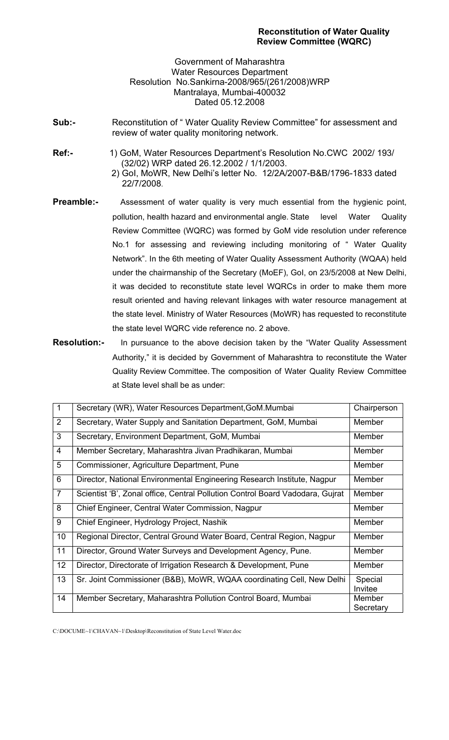Government of Maharashtra Water Resources Department Resolution No.Sankirna-2008/965/(261/2008)WRP Mantralaya, Mumbai-400032 Dated 05.12.2008

- **Sub:-** Reconstitution of " Water Quality Review Committee" for assessment and review of water quality monitoring network.
- **Ref:-** 1) GoM, Water Resources Department's Resolution No.CWC 2002/ 193/ (32/02) WRP dated 26.12.2002 / 1/1/2003.
	- 2) GoI, MoWR, New Delhi's letter No. 12/2A/2007-B&B/1796-1833 dated 22/7/2008.
- **Preamble:-** Assessment of water quality is very much essential from the hygienic point, pollution, health hazard and environmental angle. State level Water Quality Review Committee (WQRC) was formed by GoM vide resolution under reference No.1 for assessing and reviewing including monitoring of " Water Quality Network". In the 6th meeting of Water Quality Assessment Authority (WQAA) held under the chairmanship of the Secretary (MoEF), GoI, on 23/5/2008 at New Delhi, it was decided to reconstitute state level WQRCs in order to make them more result oriented and having relevant linkages with water resource management at the state level. Ministry of Water Resources (MoWR) has requested to reconstitute the state level WQRC vide reference no. 2 above.
- **Resolution:-** In pursuance to the above decision taken by the "Water Quality Assessment Authority," it is decided by Government of Maharashtra to reconstitute the Water Quality Review Committee. The composition of Water Quality Review Committee at State level shall be as under:

| $\overline{1}$ | Secretary (WR), Water Resources Department, GoM.Mumbai                        | Chairperson         |
|----------------|-------------------------------------------------------------------------------|---------------------|
| 2              | Secretary, Water Supply and Sanitation Department, GoM, Mumbai                | Member              |
| 3              | Secretary, Environment Department, GoM, Mumbai                                | Member              |
| $\overline{4}$ | Member Secretary, Maharashtra Jivan Pradhikaran, Mumbai                       | Member              |
| 5              | Commissioner, Agriculture Department, Pune                                    | Member              |
| 6              | Director, National Environmental Engineering Research Institute, Nagpur       | Member              |
| $\overline{7}$ | Scientist 'B', Zonal office, Central Pollution Control Board Vadodara, Gujrat | Member              |
| 8              | Chief Engineer, Central Water Commission, Nagpur                              | Member              |
| 9              | Chief Engineer, Hydrology Project, Nashik                                     | Member              |
| 10             | Regional Director, Central Ground Water Board, Central Region, Nagpur         | Member              |
| 11             | Director, Ground Water Surveys and Development Agency, Pune.                  | Member              |
| 12             | Director, Directorate of Irrigation Research & Development, Pune              | Member              |
| 13             | Sr. Joint Commissioner (B&B), MoWR, WQAA coordinating Cell, New Delhi         | Special<br>Invitee  |
| 14             | Member Secretary, Maharashtra Pollution Control Board, Mumbai                 | Member<br>Secretary |

C:\DOCUME~1\CHAVAN~1\Desktop\Reconstitution of State Level Water.doc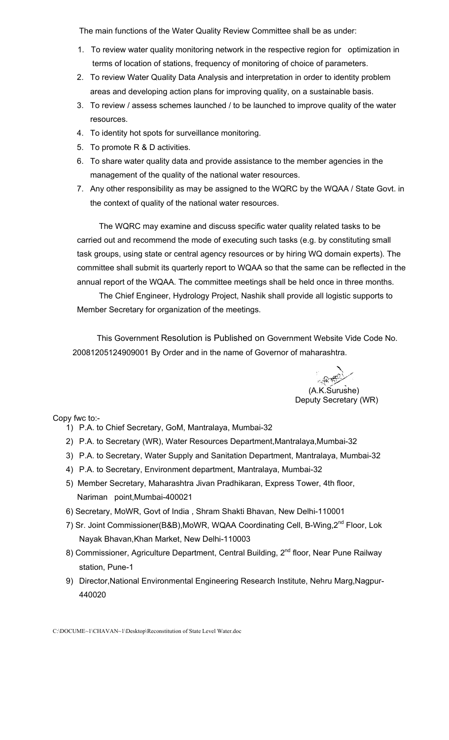The main functions of the Water Quality Review Committee shall be as under:

- 1. To review water quality monitoring network in the respective region for optimization in terms of location of stations, frequency of monitoring of choice of parameters.
- 2. To review Water Quality Data Analysis and interpretation in order to identity problem areas and developing action plans for improving quality, on a sustainable basis.
- 3. To review / assess schemes launched / to be launched to improve quality of the water resources.
- 4. To identity hot spots for surveillance monitoring.
- 5. To promote R & D activities.
- 6. To share water quality data and provide assistance to the member agencies in the management of the quality of the national water resources.
- 7. Any other responsibility as may be assigned to the WQRC by the WQAA / State Govt. in the context of quality of the national water resources.

The WQRC may examine and discuss specific water quality related tasks to be carried out and recommend the mode of executing such tasks (e.g. by constituting small task groups, using state or central agency resources or by hiring WQ domain experts). The committee shall submit its quarterly report to WQAA so that the same can be reflected in the annual report of the WQAA. The committee meetings shall be held once in three months.

The Chief Engineer, Hydrology Project, Nashik shall provide all logistic supports to Member Secretary for organization of the meetings.

This Government Resolution is Published on Government Website Vide Code No. 20081205124909001 By Order and in the name of Governor of maharashtra.

 (A.K.Surushe) Deputy Secretary (WR)

Copy fwc to:-

- 1) P.A. to Chief Secretary, GoM, Mantralaya, Mumbai-32
- 2) P.A. to Secretary (WR), Water Resources Department,Mantralaya,Mumbai-32
- 3) P.A. to Secretary, Water Supply and Sanitation Department, Mantralaya, Mumbai-32
- 4) P.A. to Secretary, Environment department, Mantralaya, Mumbai-32
- 5) Member Secretary, Maharashtra Jivan Pradhikaran, Express Tower, 4th floor, Nariman point,Mumbai-400021
- 6) Secretary, MoWR, Govt of India , Shram Shakti Bhavan, New Delhi-110001
- 7) Sr. Joint Commissioner(B&B), MoWR, WQAA Coordinating Cell, B-Wing, 2<sup>nd</sup> Floor, Lok Nayak Bhavan,Khan Market, New Delhi-110003
- 8) Commissioner, Agriculture Department, Central Building, 2<sup>nd</sup> floor, Near Pune Railway station, Pune-1
- 9) Director,National Environmental Engineering Research Institute, Nehru Marg,Nagpur-440020